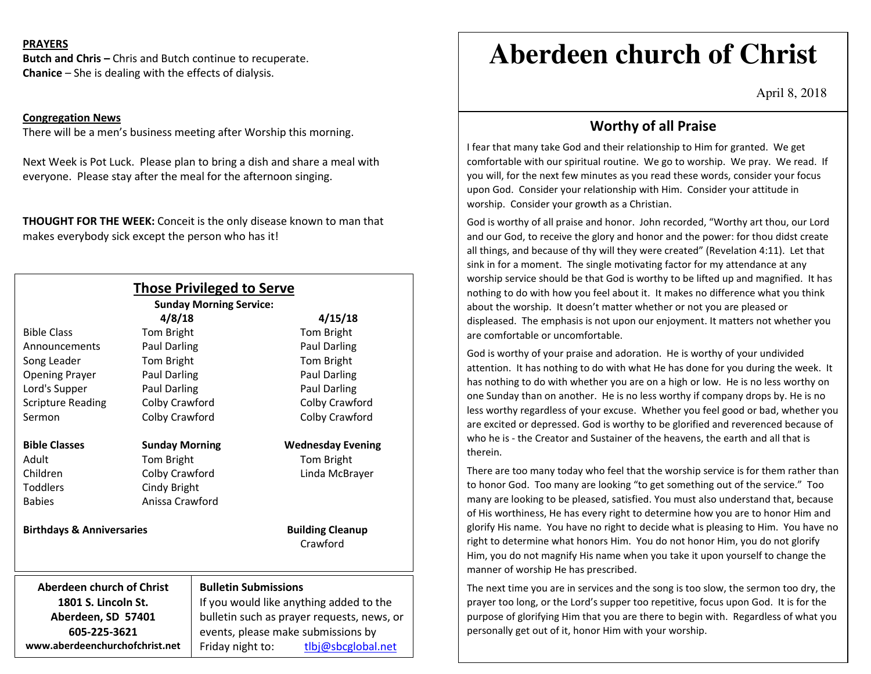### **PRAYERS**

**Butch and Chris –** Chris and Butch continue to recuperate. **Chanice** – She is dealing with the effects of dialysis.

#### **Congregation News**

There will be a men's business meeting after Worship this morning.

Next Week is Pot Luck. Please plan to bring a dish and share a meal with everyone. Please stay after the meal for the afternoon singing.

**THOUGHT FOR THE WEEK:** Conceit is the only disease known to man that makes everybody sick except the person who has it!

|                                      |                                                                                       | <b>Those Privileged to Serve</b><br><b>Sunday Morning Service:</b> |                         |                          |
|--------------------------------------|---------------------------------------------------------------------------------------|--------------------------------------------------------------------|-------------------------|--------------------------|
|                                      | 4/8/18                                                                                |                                                                    | 4/15/18                 |                          |
| <b>Bible Class</b>                   | <b>Tom Bright</b>                                                                     |                                                                    |                         | <b>Tom Bright</b>        |
| Announcements                        | <b>Paul Darling</b>                                                                   |                                                                    |                         | <b>Paul Darling</b>      |
| Song Leader                          | Tom Bright                                                                            |                                                                    |                         | Tom Bright               |
| <b>Opening Prayer</b>                | Paul Darling                                                                          |                                                                    |                         | <b>Paul Darling</b>      |
| Lord's Supper                        | Paul Darling                                                                          |                                                                    |                         | Paul Darling             |
| <b>Scripture Reading</b>             | Colby Crawford                                                                        |                                                                    |                         | Colby Crawford           |
| Sermon                               | Colby Crawford                                                                        |                                                                    |                         | Colby Crawford           |
| <b>Bible Classes</b>                 | <b>Sunday Morning</b>                                                                 |                                                                    |                         | <b>Wednesday Evening</b> |
| Adult                                | Tom Bright                                                                            |                                                                    |                         | Tom Bright               |
| Children                             | Colby Crawford                                                                        |                                                                    |                         | Linda McBrayer           |
| <b>Toddlers</b>                      | Cindy Bright                                                                          |                                                                    |                         |                          |
| <b>Babies</b>                        | Anissa Crawford                                                                       |                                                                    |                         |                          |
| <b>Birthdays &amp; Anniversaries</b> |                                                                                       |                                                                    | <b>Building Cleanup</b> |                          |
|                                      |                                                                                       |                                                                    |                         | Crawford                 |
| Aberdeen church of Christ            |                                                                                       | <b>Bulletin Submissions</b>                                        |                         |                          |
| 1801 S. Lincoln St.                  | If you would like anything added to the<br>bulletin such as prayer requests, news, or |                                                                    |                         |                          |
| Aberdeen, SD 57401                   |                                                                                       |                                                                    |                         |                          |
| 605-225-3621                         | events, please make submissions by                                                    |                                                                    |                         |                          |
| www.aberdeenchurchofchrist.net       | Friday night to:                                                                      |                                                                    | tlbj@sbcglobal.net      |                          |

# **Aberdeen church of Christ**

April 8, 2018

## **Worthy of all Praise**

I fear that many take God and their relationship to Him for granted. We get comfortable with our spiritual routine. We go to worship. We pray. We read. If you will, for the next few minutes as you read these words, consider your focus upon God. Consider your relationship with Him. Consider your attitude in worship. Consider your growth as a Christian.

God is worthy of all praise and honor. John recorded, "Worthy art thou, our Lord and our God, to receive the glory and honor and the power: for thou didst create all things, and because of thy will they were created" (Revelation 4:11). Let that sink in for a moment. The single motivating factor for my attendance at any worship service should be that God is worthy to be lifted up and magnified. It has nothing to do with how you feel about it. It makes no difference what you think about the worship. It doesn't matter whether or not you are pleased or displeased. The emphasis is not upon our enjoyment. It matters not whether you are comfortable or uncomfortable.

God is worthy of your praise and adoration. He is worthy of your undivided attention. It has nothing to do with what He has done for you during the week. It has nothing to do with whether you are on a high or low. He is no less worthy on one Sunday than on another. He is no less worthy if company drops by. He is no less worthy regardless of your excuse. Whether you feel good or bad, whether you are excited or depressed. God is worthy to be glorified and reverenced because of who he is - the Creator and Sustainer of the heavens, the earth and all that is therein.

There are too many today who feel that the worship service is for them rather than to honor God. Too many are looking "to get something out of the service." Too many are looking to be pleased, satisfied. You must also understand that, because of His worthiness, He has every right to determine how you are to honor Him and glorify His name. You have no right to decide what is pleasing to Him. You have no right to determine what honors Him. You do not honor Him, you do not glorify Him, you do not magnify His name when you take it upon yourself to change the manner of worship He has prescribed.

The next time you are in services and the song is too slow, the sermon too dry, the prayer too long, or the Lord's supper too repetitive, focus upon God. It is for the purpose of glorifying Him that you are there to begin with. Regardless of what you personally get out of it, honor Him with your worship.